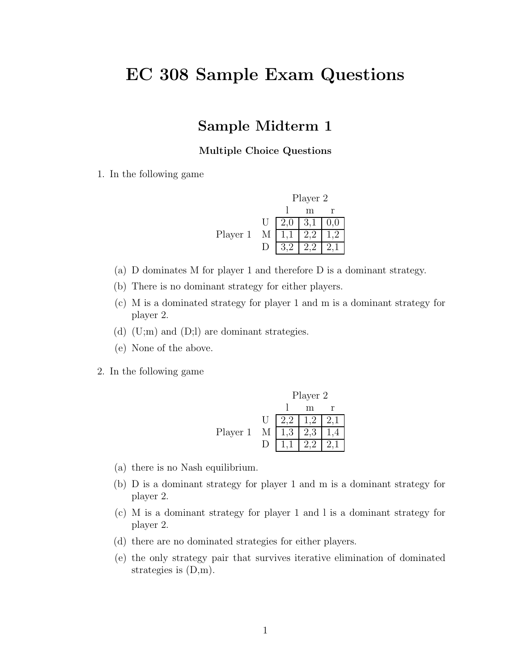# **EC 308 Sample Exam Questions**

## **Sample Midterm 1**

### **Multiple Choice Questions**

1. In the following game

|          |   | Player 2    |          |
|----------|---|-------------|----------|
|          |   |             |          |
|          |   | $2,0$   3,1 | $_{0,0}$ |
| Player 1 | M |             |          |
|          |   |             |          |

- (a) D dominates M for player 1 and therefore D is a dominant strategy.
- (b) There is no dominant strategy for either players.
- (c) M is a dominated strategy for player 1 and m is a dominant strategy for player 2.
- (d)  $(U; m)$  and  $(D; l)$  are dominant strategies.
- (e) None of the above.
- 2. In the following game

Player 2  
\n
$$
\begin{array}{c|cc}\n & \text{Player 2} \\
1 & m r \\
\hline\nU & 2,2 & 1,2 & 2,1 \\
\hline\n1,3 & 2,3 & 1,4 \\
\hline\nD & 1,1 & 2,2 & 2,1\n\end{array}
$$

- (a) there is no Nash equilibrium.
- (b) D is a dominant strategy for player 1 and m is a dominant strategy for player 2.
- (c) M is a dominant strategy for player 1 and l is a dominant strategy for player 2.
- (d) there are no dominated strategies for either players.
- (e) the only strategy pair that survives iterative elimination of dominated strategies is (D,m).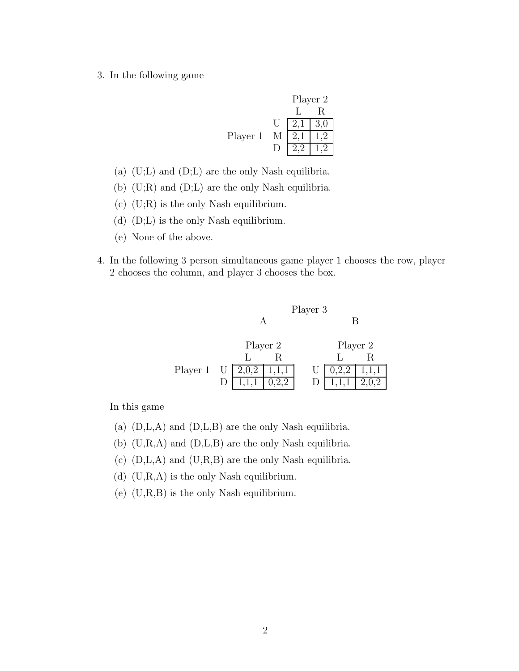3. In the following game

|          |   |     | Player 2 |
|----------|---|-----|----------|
|          |   |     | R.       |
|          | Ħ | 2,1 | 3,0      |
| Player 1 | М |     |          |
|          |   |     |          |

- (a) (U;L) and (D;L) are the only Nash equilibria.
- (b) (U;R) and (D;L) are the only Nash equilibria.
- (c) (U;R) is the only Nash equilibrium.
- (d) (D;L) is the only Nash equilibrium.
- (e) None of the above.
- 4. In the following 3 person simultaneous game player 1 chooses the row, player 2 chooses the column, and player 3 chooses the box.



|          | Player 2            |  | Player 2 |                                                 |
|----------|---------------------|--|----------|-------------------------------------------------|
|          |                     |  |          |                                                 |
| Player 1 | $U$   2,0,2   1,1,1 |  |          | $U \begin{bmatrix} 0.2.2 & 1.1.1 \end{bmatrix}$ |
|          | 1,1,1               |  |          | 2,0,2                                           |

In this game

- (a) (D,L,A) and (D,L,B) are the only Nash equilibria.
- (b) (U,R,A) and (D,L,B) are the only Nash equilibria.
- (c)  $(D,L,A)$  and  $(U,R,B)$  are the only Nash equilibria.
- (d)  $(U,R,A)$  is the only Nash equilibrium.
- (e)  $(U,R,B)$  is the only Nash equilibrium.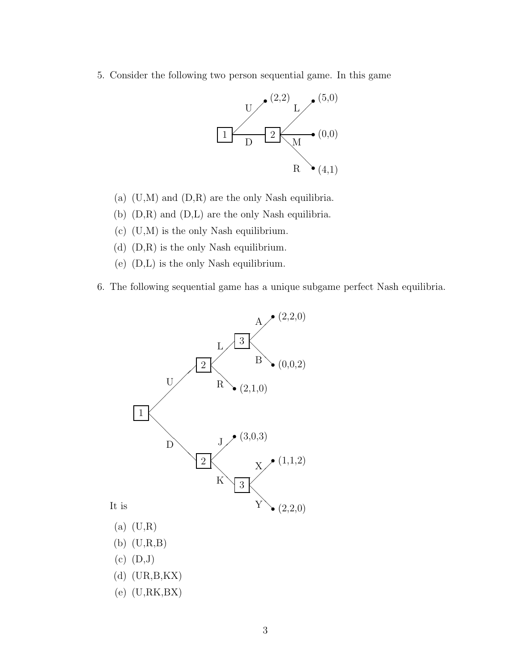5. Consider the following two person sequential game. In this game



- (a) (U,M) and (D,R) are the only Nash equilibria.
- (b) (D,R) and (D,L) are the only Nash equilibria.
- (c) (U,M) is the only Nash equilibrium.
- (d) (D,R) is the only Nash equilibrium.
- (e) (D,L) is the only Nash equilibrium.
- 6. The following sequential game has a unique subgame perfect Nash equilibria.

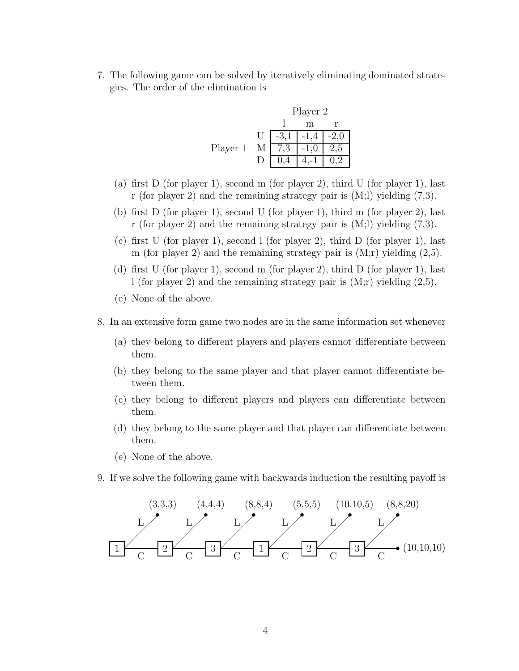7. The following game can be solved by iteratively eliminating dominated strategies. The order of the elimination is

|          |              |    | Player 2 |     |
|----------|--------------|----|----------|-----|
|          |              |    | m        |     |
|          | $\mathbf{U}$ |    |          |     |
| Player 1 | М            | د. |          | ሪ.১ |
|          |              |    |          |     |

- (a) first D (for player 1), second m (for player 2), third U (for player 1), last r (for player 2) and the remaining strategy pair is (M;l) yielding (7,3).
- (b) first D (for player 1), second U (for player 1), third m (for player 2), last r (for player 2) and the remaining strategy pair is (M;l) yielding (7,3).
- (c) first U (for player 1), second l (for player 2), third D (for player 1), last m (for player 2) and the remaining strategy pair is  $(M; r)$  yielding  $(2,5)$ .
- (d) first U (for player 1), second m (for player 2), third D (for player 1), last l (for player 2) and the remaining strategy pair is (M;r) yielding (2,5).
- (e) None of the above.
- 8. In an extensive form game two nodes are in the same information set whenever
	- (a) they belong to different players and players cannot differentiate between them.
	- (b) they belong to the same player and that player cannot differentiate between them.
	- (c) they belong to different players and players can differentiate between them.
	- (d) they belong to the same player and that player can differentiate between them.
	- (e) None of the above.
- 9. If we solve the following game with backwards induction the resulting payoff is

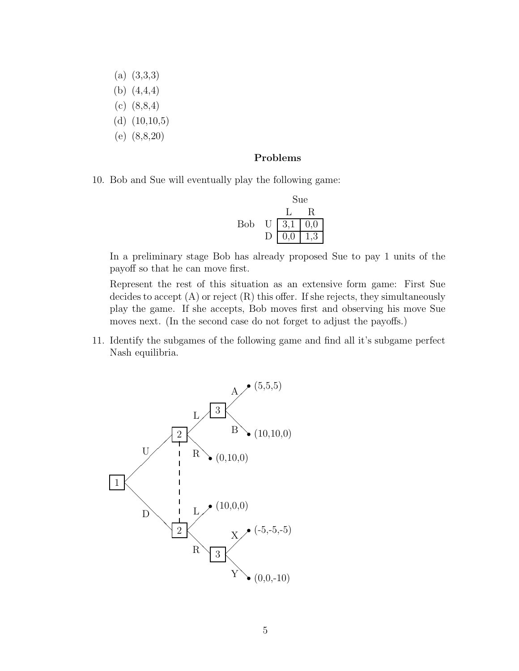- (a) (3,3,3)
- (b) (4,4,4)
- (c) (8,8,4)
- (d) (10,10,5)
- (e) (8,8,20)

### **Problems**

10. Bob and Sue will eventually play the following game:

|     |   | Sue |           |
|-----|---|-----|-----------|
|     |   |     |           |
| Bob | U | 3,1 | 0,0       |
|     |   | 0,0 | $\cdot$ 3 |

In a preliminary stage Bob has already proposed Sue to pay 1 units of the payoff so that he can move first.

Represent the rest of this situation as an extensive form game: First Sue decides to accept (A) or reject (R) this offer. If she rejects, they simultaneously play the game. If she accepts, Bob moves first and observing his move Sue moves next. (In the second case do not forget to adjust the payoffs.)

11. Identify the subgames of the following game and find all it's subgame perfect Nash equilibria.

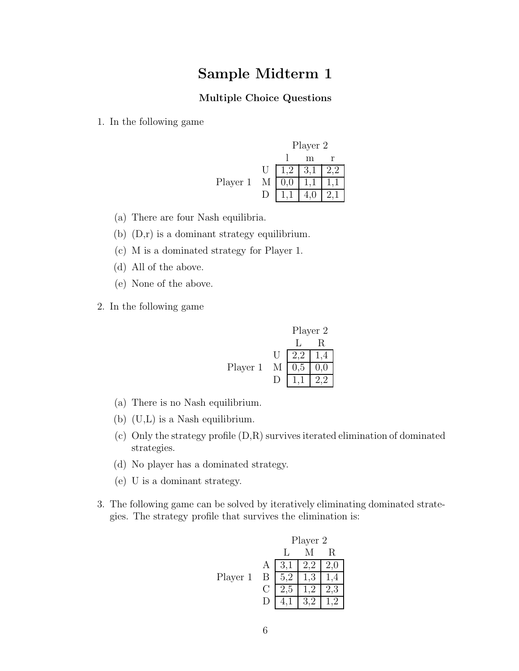# **Sample Midterm 1**

### **Multiple Choice Questions**

1. In the following game



- (a) There are four Nash equilibria.
- (b) (D,r) is a dominant strategy equilibrium.
- (c) M is a dominated strategy for Player 1.
- (d) All of the above.
- (e) None of the above.
- 2. In the following game

Player 2 L R U 2,2 1,4 Player 1 M 0,5 0,0 D 1,1 2,2

- (a) There is no Nash equilibrium.
- (b) (U,L) is a Nash equilibrium.
- (c) Only the strategy profile (D,R) survives iterated elimination of dominated strategies.
- (d) No player has a dominated strategy.
- (e) U is a dominant strategy.
- 3. The following game can be solved by iteratively eliminating dominated strategies. The strategy profile that survives the elimination is:

|          |   |       | Player 2 |                |
|----------|---|-------|----------|----------------|
|          |   |       |          | R              |
|          | А | $3,1$ | 2,2      | 2,0            |
| Player 1 | B |       |          |                |
|          |   | 2.5   |          | 3              |
|          |   |       |          | $\overline{2}$ |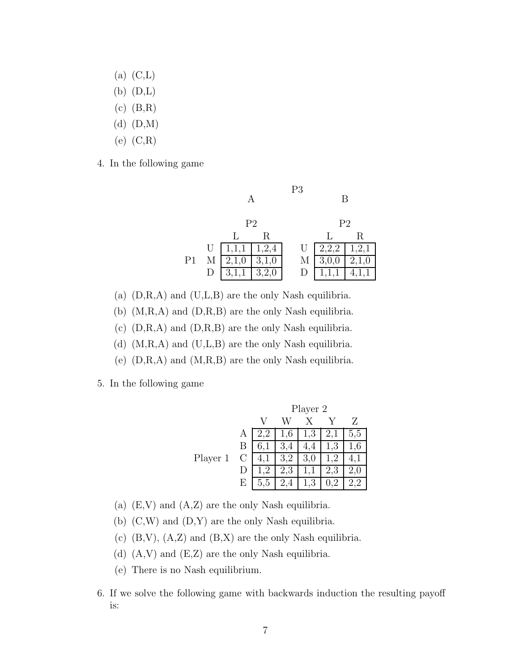- $(a)$   $(C,L)$
- $(b)$   $(D,L)$
- (c) (B,R)
- (d) (D,M)
- (e) (C,R)
- 4. In the following game

| P <sub>2</sub><br>P <sub>2</sub>                 |  |
|--------------------------------------------------|--|
|                                                  |  |
| R<br>R                                           |  |
| 1,2,1<br> 1,1,1 <br>1,2,4<br>2,2,2<br>U<br>U     |  |
| P1<br>3,1,0<br>3,0,0<br>М<br>2,1,0<br>М<br>2,1,0 |  |
| 3,2,0<br>D                                       |  |

- (a)  $(D,R,A)$  and  $(U,L,B)$  are the only Nash equilibria.
- (b) (M,R,A) and (D,R,B) are the only Nash equilibria.
- (c) (D,R,A) and (D,R,B) are the only Nash equilibria.
- (d) (M,R,A) and (U,L,B) are the only Nash equilibria.
- (e)  $(D,R,A)$  and  $(M,R,B)$  are the only Nash equilibria.
- 5. In the following game

|          |   | Player 2 |     |     |     |     |
|----------|---|----------|-----|-----|-----|-----|
|          |   |          |     |     |     | 7.  |
|          | Α |          | 1,6 | 1,3 | 2,1 | 5,5 |
|          |   |          |     | ч.  | 1,3 | 1.6 |
| Player 1 | C |          | 3,2 | 3,0 |     |     |
|          |   |          | 2,3 |     | 2,3 |     |
|          | E |          |     | 3   |     |     |

- (a)  $(E, V)$  and  $(A, Z)$  are the only Nash equilibria.
- (b) (C,W) and (D,Y) are the only Nash equilibria.
- (c)  $(B,V)$ ,  $(A,Z)$  and  $(B,X)$  are the only Nash equilibria.
- (d) (A,V) and (E,Z) are the only Nash equilibria.
- (e) There is no Nash equilibrium.
- 6. If we solve the following game with backwards induction the resulting payoff is: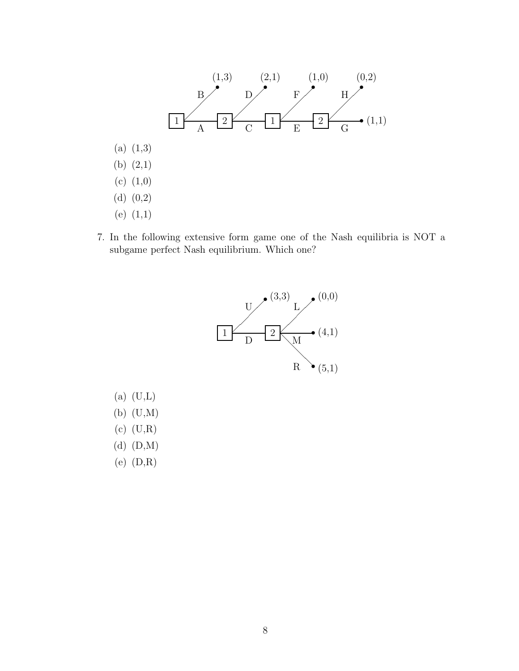

7. In the following extensive form game one of the Nash equilibria is NOT a subgame perfect Nash equilibrium. Which one?



- $(a)$   $(U,L)$ (b) (U,M) (c) (U,R)
- (d) (D,M)
- (e) (D,R)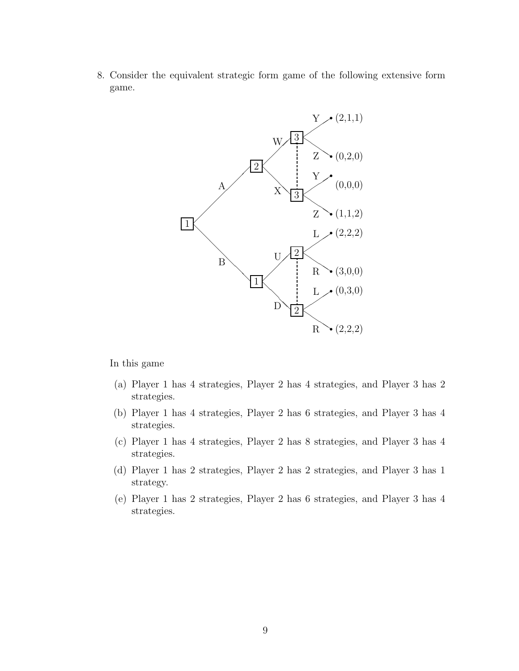8. Consider the equivalent strategic form game of the following extensive form game.



In this game

- (a) Player 1 has 4 strategies, Player 2 has 4 strategies, and Player 3 has 2 strategies.
- (b) Player 1 has 4 strategies, Player 2 has 6 strategies, and Player 3 has 4 strategies.
- (c) Player 1 has 4 strategies, Player 2 has 8 strategies, and Player 3 has 4 strategies.
- (d) Player 1 has 2 strategies, Player 2 has 2 strategies, and Player 3 has 1 strategy.
- (e) Player 1 has 2 strategies, Player 2 has 6 strategies, and Player 3 has 4 strategies.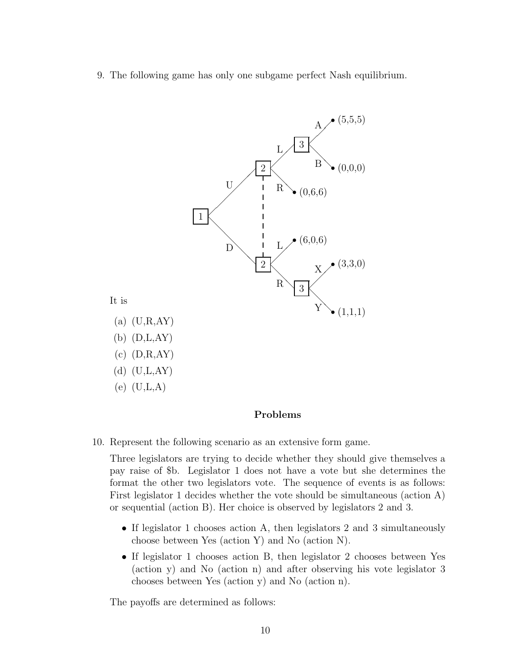9. The following game has only one subgame perfect Nash equilibrium.



### **Problems**

10. Represent the following scenario as an extensive form game.

Three legislators are trying to decide whether they should give themselves a pay raise of \$b. Legislator 1 does not have a vote but she determines the format the other two legislators vote. The sequence of events is as follows: First legislator 1 decides whether the vote should be simultaneous (action A) or sequential (action B). Her choice is observed by legislators 2 and 3.

- If legislator 1 chooses action A, then legislators 2 and 3 simultaneously choose between Yes (action Y) and No (action N).
- If legislator 1 chooses action B, then legislator 2 chooses between Yes (action y) and No (action n) and after observing his vote legislator 3 chooses between Yes (action y) and No (action n).

The payoffs are determined as follows: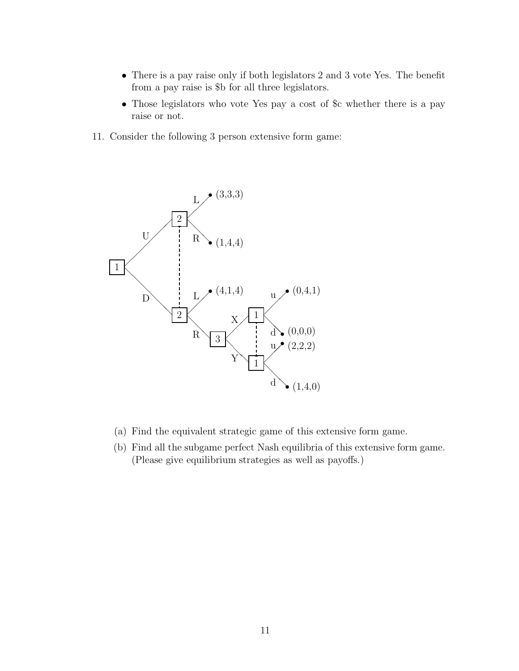- There is a pay raise only if both legislators 2 and 3 vote Yes. The benefit from a pay raise is \$b for all three legislators.
- Those legislators who vote Yes pay a cost of \$c whether there is a pay raise or not.
- 11. Consider the following 3 person extensive form game:



- (a) Find the equivalent strategic game of this extensive form game.
- (b) Find all the subgame perfect Nash equilibria of this extensive form game. (Please give equilibrium strategies as well as payoffs.)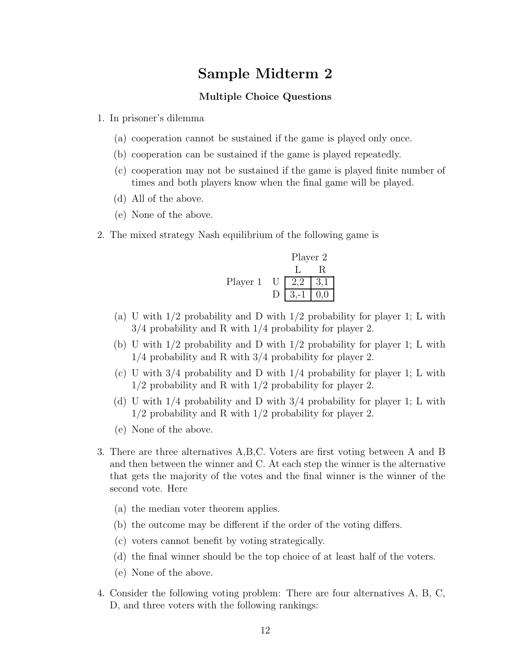# **Sample Midterm 2**

### **Multiple Choice Questions**

- 1. In prisoner's dilemma
	- (a) cooperation cannot be sustained if the game is played only once.
	- (b) cooperation can be sustained if the game is played repeatedly.
	- (c) cooperation may not be sustained if the game is played finite number of times and both players know when the final game will be played.
	- (d) All of the above.
	- (e) None of the above.
- 2. The mixed strategy Nash equilibrium of the following game is

Player 2 L R Player 1 U 2,2 3,1 D 3,-1 0,0

- (a) U with 1/2 probability and D with 1/2 probability for player 1; L with 3/4 probability and R with 1/4 probability for player 2.
- (b) U with 1/2 probability and D with 1/2 probability for player 1; L with 1/4 probability and R with 3/4 probability for player 2.
- (c) U with  $3/4$  probability and D with  $1/4$  probability for player 1; L with 1/2 probability and R with 1/2 probability for player 2.
- (d) U with 1/4 probability and D with 3/4 probability for player 1; L with 1/2 probability and R with 1/2 probability for player 2.
- (e) None of the above.
- 3. There are three alternatives A,B,C. Voters are first voting between A and B and then between the winner and C. At each step the winner is the alternative that gets the majority of the votes and the final winner is the winner of the second vote. Here
	- (a) the median voter theorem applies.
	- (b) the outcome may be different if the order of the voting differs.
	- (c) voters cannot benefit by voting strategically.
	- (d) the final winner should be the top choice of at least half of the voters.
	- (e) None of the above.
- 4. Consider the following voting problem: There are four alternatives A, B, C, D, and three voters with the following rankings: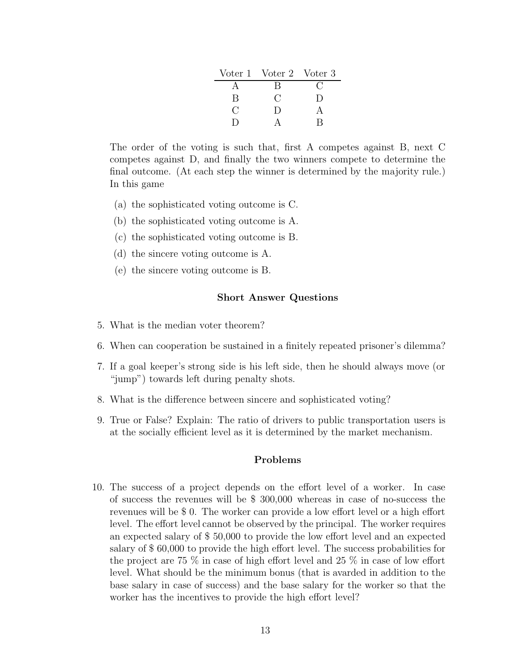|    | Voter 1 Voter 2 Voter 3 |        |
|----|-------------------------|--------|
|    | R                       |        |
| В  | C :                     | $\Box$ |
| €. | $\Box$                  |        |
|    |                         | R      |

The order of the voting is such that, first A competes against B, next C competes against D, and finally the two winners compete to determine the final outcome. (At each step the winner is determined by the majority rule.) In this game

- (a) the sophisticated voting outcome is C.
- (b) the sophisticated voting outcome is A.
- (c) the sophisticated voting outcome is B.
- (d) the sincere voting outcome is A.
- (e) the sincere voting outcome is B.

#### **Short Answer Questions**

- 5. What is the median voter theorem?
- 6. When can cooperation be sustained in a finitely repeated prisoner's dilemma?
- 7. If a goal keeper's strong side is his left side, then he should always move (or "jump") towards left during penalty shots.
- 8. What is the difference between sincere and sophisticated voting?
- 9. True or False? Explain: The ratio of drivers to public transportation users is at the socially efficient level as it is determined by the market mechanism.

#### **Problems**

10. The success of a project depends on the effort level of a worker. In case of success the revenues will be \$ 300,000 whereas in case of no-success the revenues will be \$ 0. The worker can provide a low effort level or a high effort level. The effort level cannot be observed by the principal. The worker requires an expected salary of \$ 50,000 to provide the low effort level and an expected salary of \$ 60,000 to provide the high effort level. The success probabilities for the project are 75 % in case of high effort level and 25 % in case of low effort level. What should be the minimum bonus (that is avarded in addition to the base salary in case of success) and the base salary for the worker so that the worker has the incentives to provide the high effort level?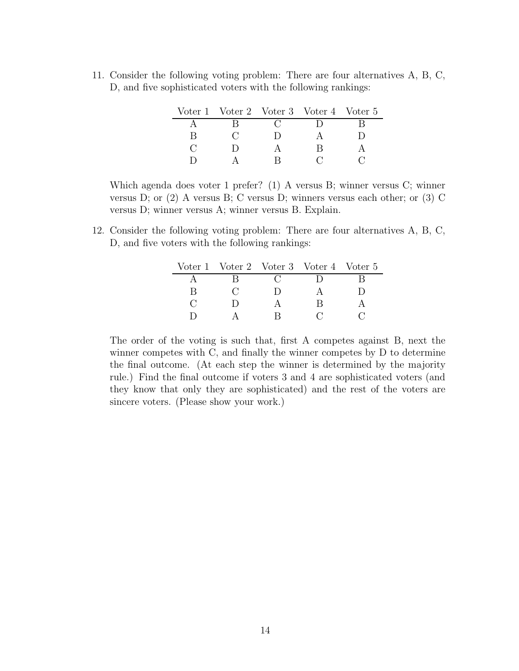11. Consider the following voting problem: There are four alternatives A, B, C, D, and five sophisticated voters with the following rankings:

|  | Voter 1 Voter 2 Voter 3 Voter 4 Voter 5 |  |  |
|--|-----------------------------------------|--|--|
|  |                                         |  |  |
|  |                                         |  |  |
|  |                                         |  |  |
|  |                                         |  |  |

Which agenda does voter 1 prefer? (1) A versus B; winner versus C; winner versus D; or (2) A versus B; C versus D; winners versus each other; or (3) C versus D; winner versus A; winner versus B. Explain.

12. Consider the following voting problem: There are four alternatives A, B, C, D, and five voters with the following rankings:

|  |  | Voter 1 Voter 2 Voter 3 Voter 4 Voter 5 |  |
|--|--|-----------------------------------------|--|
|  |  |                                         |  |
|  |  |                                         |  |
|  |  |                                         |  |
|  |  |                                         |  |

The order of the voting is such that, first A competes against B, next the winner competes with C, and finally the winner competes by D to determine the final outcome. (At each step the winner is determined by the majority rule.) Find the final outcome if voters 3 and 4 are sophisticated voters (and they know that only they are sophisticated) and the rest of the voters are sincere voters. (Please show your work.)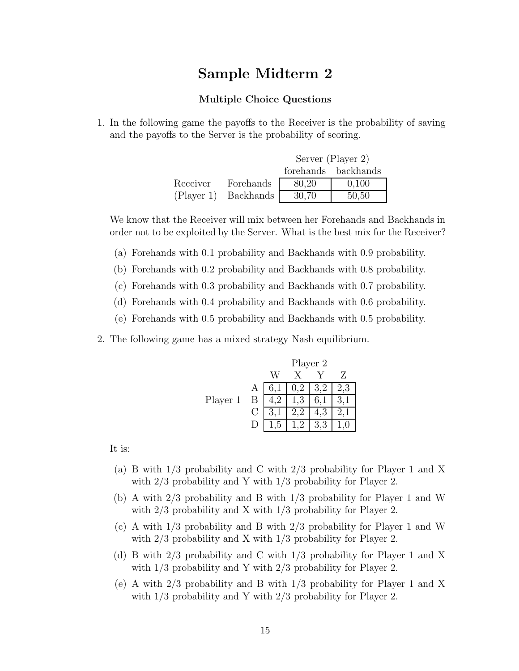# **Sample Midterm 2**

#### **Multiple Choice Questions**

1. In the following game the payoffs to the Receiver is the probability of saving and the payoffs to the Server is the probability of scoring.

|            |           |       | Server (Player 2)   |
|------------|-----------|-------|---------------------|
|            |           |       | forehands backhands |
| Receiver   | Forehands | 80,20 | 0,100               |
| (Player 1) | Backhands | 30,70 | 50,50               |

We know that the Receiver will mix between her Forehands and Backhands in order not to be exploited by the Server. What is the best mix for the Receiver?

- (a) Forehands with 0.1 probability and Backhands with 0.9 probability.
- (b) Forehands with 0.2 probability and Backhands with 0.8 probability.
- (c) Forehands with 0.3 probability and Backhands with 0.7 probability.
- (d) Forehands with 0.4 probability and Backhands with 0.6 probability.
- (e) Forehands with 0.5 probability and Backhands with 0.5 probability.
- 2. The following game has a mixed strategy Nash equilibrium.

|          |              | Player 2 |            |     |     |  |
|----------|--------------|----------|------------|-----|-----|--|
|          |              |          |            |     | Z   |  |
|          | $\mathbf{A}$ | 6,1      | $0.2\perp$ | 3.2 | 2,3 |  |
| Player 1 | Β            |          | ,3         | 6,1 |     |  |
|          | ⊖            |          |            | 4.3 |     |  |
|          |              |          |            |     |     |  |

It is:

- (a) B with 1/3 probability and C with 2/3 probability for Player 1 and X with  $2/3$  probability and Y with  $1/3$  probability for Player 2.
- (b) A with 2/3 probability and B with 1/3 probability for Player 1 and W with  $2/3$  probability and X with  $1/3$  probability for Player 2.
- (c) A with 1/3 probability and B with 2/3 probability for Player 1 and W with  $2/3$  probability and X with  $1/3$  probability for Player 2.
- (d) B with 2/3 probability and C with 1/3 probability for Player 1 and X with  $1/3$  probability and Y with  $2/3$  probability for Player 2.
- (e) A with 2/3 probability and B with 1/3 probability for Player 1 and X with  $1/3$  probability and Y with  $2/3$  probability for Player 2.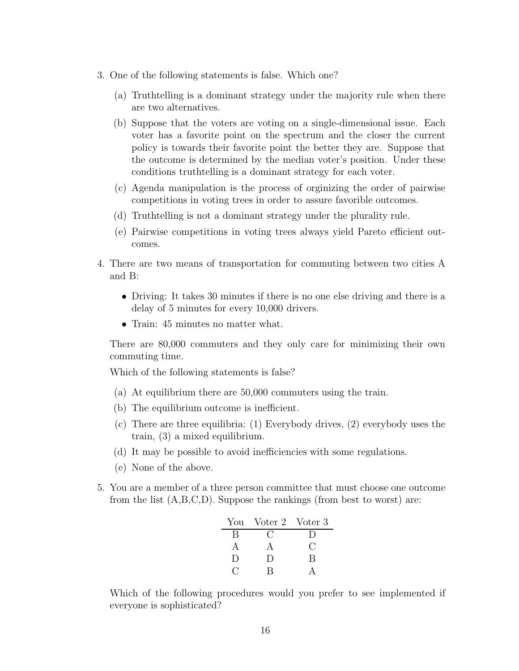- 3. One of the following statements is false. Which one?
	- (a) Truthtelling is a dominant strategy under the majority rule when there are two alternatives.
	- (b) Suppose that the voters are voting on a single-dimensional issue. Each voter has a favorite point on the spectrum and the closer the current policy is towards their favorite point the better they are. Suppose that the outcome is determined by the median voter's position. Under these conditions truthtelling is a dominant strategy for each voter.
	- (c) Agenda manipulation is the process of orginizing the order of pairwise competitions in voting trees in order to assure favorible outcomes.
	- (d) Truthtelling is not a dominant strategy under the plurality rule.
	- (e) Pairwise competitions in voting trees always yield Pareto efficient outcomes.
- 4. There are two means of transportation for commuting between two cities A and B:
	- Driving: It takes 30 minutes if there is no one else driving and there is a delay of 5 minutes for every 10,000 drivers.
	- Train: 45 minutes no matter what.

There are 80,000 commuters and they only care for minimizing their own commuting time.

Which of the following statements is false?

- (a) At equilibrium there are 50,000 commuters using the train.
- (b) The equilibrium outcome is inefficient.
- (c) There are three equilibria: (1) Everybody drives, (2) everybody uses the train, (3) a mixed equilibrium.
- (d) It may be possible to avoid inefficiencies with some regulations.
- (e) None of the above.
- 5. You are a member of a three person committee that must choose one outcome from the list (A,B,C,D). Suppose the rankings (from best to worst) are:

| You    | Voter 2 Voter 3 |                    |
|--------|-----------------|--------------------|
| В      | ( ∶             | I)                 |
| А      | A               | $\left( \ \right)$ |
| $\Box$ | $\Box$          | B                  |
|        | R               |                    |

Which of the following procedures would you prefer to see implemented if everyone is sophisticated?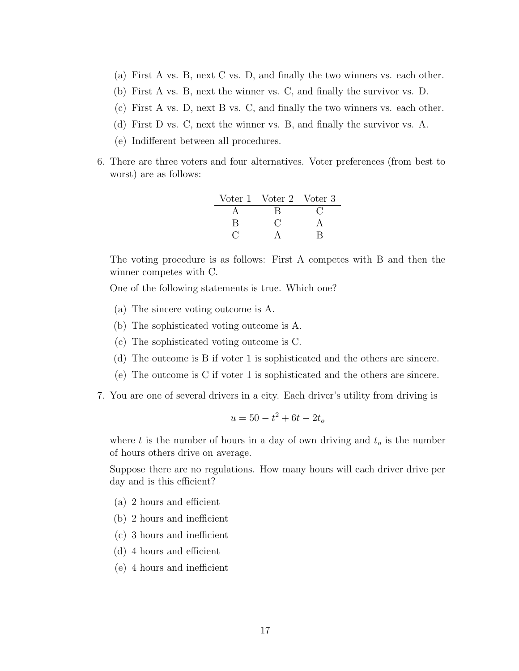- (a) First A vs. B, next C vs. D, and finally the two winners vs. each other.
- (b) First A vs. B, next the winner vs. C, and finally the survivor vs. D.
- (c) First A vs. D, next B vs. C, and finally the two winners vs. each other.
- (d) First D vs. C, next the winner vs. B, and finally the survivor vs. A.
- (e) Indifferent between all procedures.
- 6. There are three voters and four alternatives. Voter preferences (from best to worst) are as follows:

|   | Voter 1 Voter 2 Voter 3 |  |
|---|-------------------------|--|
|   |                         |  |
| В |                         |  |
|   |                         |  |

The voting procedure is as follows: First A competes with B and then the winner competes with C.

One of the following statements is true. Which one?

- (a) The sincere voting outcome is A.
- (b) The sophisticated voting outcome is A.
- (c) The sophisticated voting outcome is C.
- (d) The outcome is B if voter 1 is sophisticated and the others are sincere.
- (e) The outcome is C if voter 1 is sophisticated and the others are sincere.
- 7. You are one of several drivers in a city. Each driver's utility from driving is

$$
u = 50 - t^2 + 6t - 2t_o
$$

where *t* is the number of hours in a day of own driving and *t<sup>o</sup>* is the number of hours others drive on average.

Suppose there are no regulations. How many hours will each driver drive per day and is this efficient?

- (a) 2 hours and efficient
- (b) 2 hours and inefficient
- (c) 3 hours and inefficient
- (d) 4 hours and efficient
- (e) 4 hours and inefficient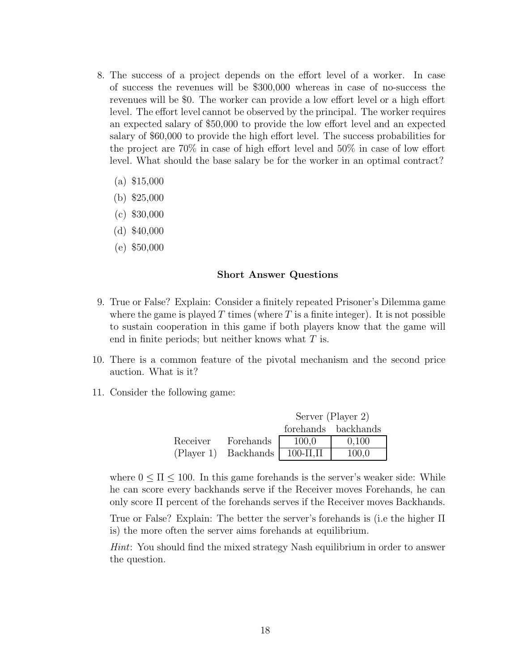- 8. The success of a project depends on the effort level of a worker. In case of success the revenues will be \$300,000 whereas in case of no-success the revenues will be \$0. The worker can provide a low effort level or a high effort level. The effort level cannot be observed by the principal. The worker requires an expected salary of \$50,000 to provide the low effort level and an expected salary of \$60,000 to provide the high effort level. The success probabilities for the project are 70% in case of high effort level and 50% in case of low effort level. What should the base salary be for the worker in an optimal contract?
	- (a) \$15,000
	- (b) \$25,000
	- (c) \$30,000
	- (d) \$40,000
	- (e) \$50,000

#### **Short Answer Questions**

- 9. True or False? Explain: Consider a finitely repeated Prisoner's Dilemma game where the game is played  $T$  times (where  $T$  is a finite integer). It is not possible to sustain cooperation in this game if both players know that the game will end in finite periods; but neither knows what *T* is.
- 10. There is a common feature of the pivotal mechanism and the second price auction. What is it?
- 11. Consider the following game:

|          |                      | Server (Player 2) |                     |  |
|----------|----------------------|-------------------|---------------------|--|
|          |                      |                   | forehands backhands |  |
| Receiver | Forehands            | 100,0             | 0,100               |  |
|          | (Player 1) Backhands | $100 - \Pi, \Pi$  | 100,0               |  |

where  $0 \leq \Pi \leq 100$ . In this game forehands is the server's weaker side: While he can score every backhands serve if the Receiver moves Forehands, he can only score Π percent of the forehands serves if the Receiver moves Backhands.

True or False? Explain: The better the server's forehands is (i.e the higher Π is) the more often the server aims forehands at equilibrium.

*Hint*: You should find the mixed strategy Nash equilibrium in order to answer the question.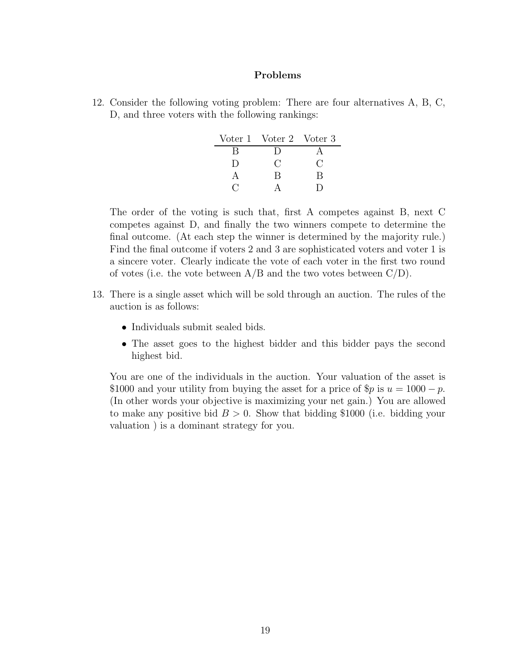### **Problems**

12. Consider the following voting problem: There are four alternatives A, B, C, D, and three voters with the following rankings:

|        | Voter 1 Voter 2 Voter 3 |     |
|--------|-------------------------|-----|
| R      | I)                      |     |
| $\Box$ | ( )                     | ( ) |
|        | R                       | В   |
|        |                         |     |

The order of the voting is such that, first A competes against B, next C competes against D, and finally the two winners compete to determine the final outcome. (At each step the winner is determined by the majority rule.) Find the final outcome if voters 2 and 3 are sophisticated voters and voter 1 is a sincere voter. Clearly indicate the vote of each voter in the first two round of votes (i.e. the vote between  $A/B$  and the two votes between  $C/D$ ).

- 13. There is a single asset which will be sold through an auction. The rules of the auction is as follows:
	- Individuals submit sealed bids.
	- The asset goes to the highest bidder and this bidder pays the second highest bid.

You are one of the individuals in the auction. Your valuation of the asset is \$1000 and your utility from buying the asset for a price of  $\wp p$  is  $u = 1000 - p$ . (In other words your objective is maximizing your net gain.) You are allowed to make any positive bid *B >* 0. Show that bidding \$1000 (i.e. bidding your valuation ) is a dominant strategy for you.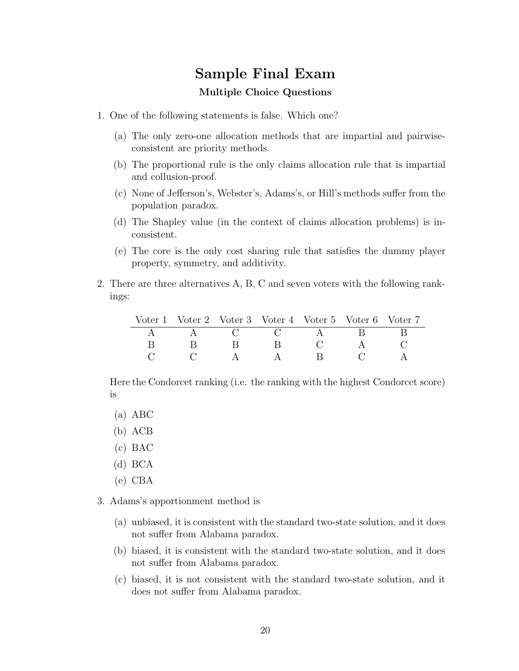# **Sample Final Exam**

### **Multiple Choice Questions**

- 1. One of the following statements is false. Which one?
	- (a) The only zero-one allocation methods that are impartial and pairwiseconsistent are priority methods.
	- (b) The proportional rule is the only claims allocation rule that is impartial and collusion-proof.
	- (c) None of Jefferson's, Webster's, Adams's, or Hill's methods suffer from the population paradox.
	- (d) The Shapley value (in the context of claims allocation problems) is inconsistent.
	- (e) The core is the only cost sharing rule that satisfies the dummy player property, symmetry, and additivity.
- 2. There are three alternatives A, B, C and seven voters with the following rankings:

| Voter 1 Voter 2 Voter 3 Voter 4 Voter 5 Voter 6 Voter 7 |  |                 |  |
|---------------------------------------------------------|--|-----------------|--|
|                                                         |  | $A$ ( ) ( ) $A$ |  |
|                                                         |  |                 |  |
|                                                         |  | $\mathbf{R}$    |  |

Here the Condorcet ranking (i.e. the ranking with the highest Condorcet score) is

- (a) ABC
- (b) ACB
- (c) BAC
- (d) BCA
- (e) CBA

3. Adams's apportionment method is

- (a) unbiased, it is consistent with the standard two-state solution, and it does not suffer from Alabama paradox.
- (b) biased, it is consistent with the standard two-state solution, and it does not suffer from Alabama paradox.
- (c) biased, it is not consistent with the standard two-state solution, and it does not suffer from Alabama paradox.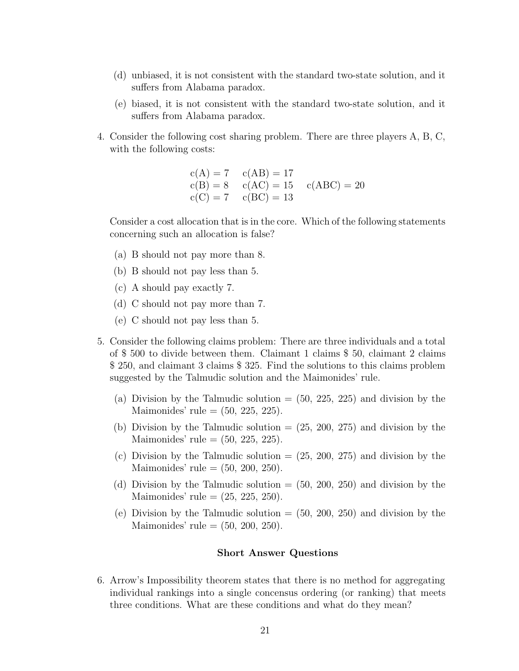- (d) unbiased, it is not consistent with the standard two-state solution, and it suffers from Alabama paradox.
- (e) biased, it is not consistent with the standard two-state solution, and it suffers from Alabama paradox.
- 4. Consider the following cost sharing problem. There are three players A, B, C, with the following costs:

 $c(A) = 7$   $c(AB) = 17$  $c(B) = 8$   $c(AC) = 15$   $c(ABC) = 20$  $c(C) = 7$   $c(BC) = 13$ 

Consider a cost allocation that is in the core. Which of the following statements concerning such an allocation is false?

- (a) B should not pay more than 8.
- (b) B should not pay less than 5.
- (c) A should pay exactly 7.
- (d) C should not pay more than 7.
- (e) C should not pay less than 5.
- 5. Consider the following claims problem: There are three individuals and a total of \$ 500 to divide between them. Claimant 1 claims \$ 50, claimant 2 claims \$ 250, and claimant 3 claims \$ 325. Find the solutions to this claims problem suggested by the Talmudic solution and the Maimonides' rule.
	- (a) Division by the Talmudic solution  $=$  (50, 225, 225) and division by the Maimonides' rule  $= (50, 225, 225)$ .
	- (b) Division by the Talmudic solution  $=(25, 200, 275)$  and division by the Maimonides' rule  $= (50, 225, 225)$ .
	- (c) Division by the Talmudic solution  $=(25, 200, 275)$  and division by the Maimonides' rule  $=$   $(50, 200, 250)$ .
	- (d) Division by the Talmudic solution  $=$  (50, 200, 250) and division by the Maimonides' rule  $= (25, 225, 250)$ .
	- (e) Division by the Talmudic solution  $=$  (50, 200, 250) and division by the Maimonides' rule  $=$   $(50, 200, 250)$ .

#### **Short Answer Questions**

6. Arrow's Impossibility theorem states that there is no method for aggregating individual rankings into a single concensus ordering (or ranking) that meets three conditions. What are these conditions and what do they mean?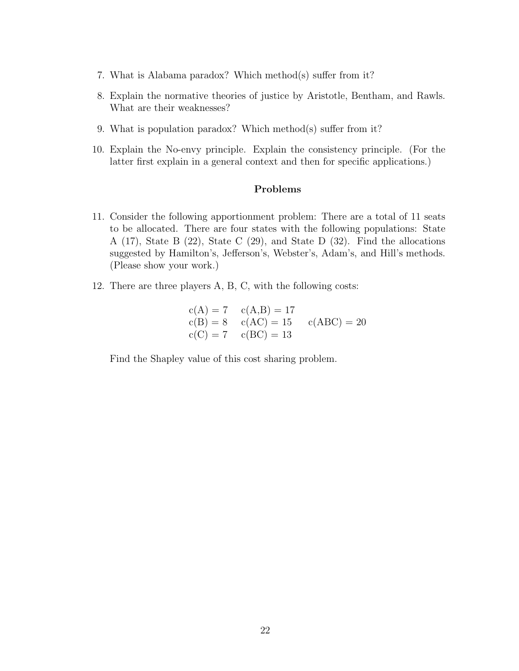- 7. What is Alabama paradox? Which method(s) suffer from it?
- 8. Explain the normative theories of justice by Aristotle, Bentham, and Rawls. What are their weaknesses?
- 9. What is population paradox? Which method(s) suffer from it?
- 10. Explain the No-envy principle. Explain the consistency principle. (For the latter first explain in a general context and then for specific applications.)

#### **Problems**

- 11. Consider the following apportionment problem: There are a total of 11 seats to be allocated. There are four states with the following populations: State A (17), State B (22), State C (29), and State D (32). Find the allocations suggested by Hamilton's, Jefferson's, Webster's, Adam's, and Hill's methods. (Please show your work.)
- 12. There are three players A, B, C, with the following costs:

$$
c(A) = 7 \t c(A,B) = 17\nc(B) = 8 \t c(AC) = 15 \t c(ABC) = 20\nc(C) = 7 \t c(BC) = 13
$$

Find the Shapley value of this cost sharing problem.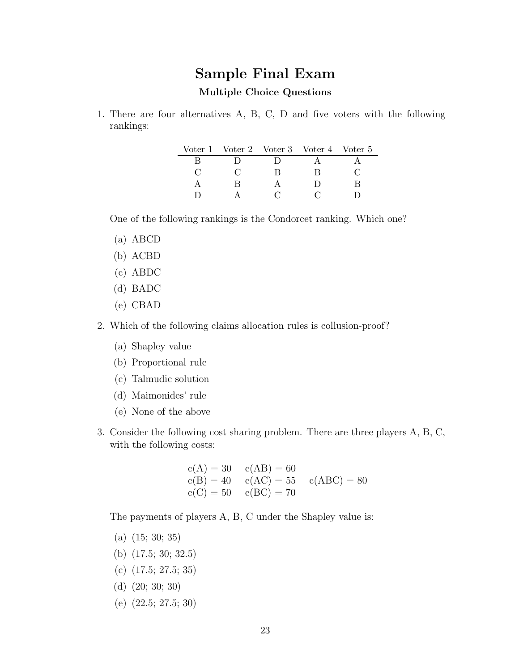# **Sample Final Exam**

### **Multiple Choice Questions**

1. There are four alternatives A, B, C, D and five voters with the following rankings:

| Voter 1 Voter 2 Voter 3 Voter 4 Voter 5 |  |  |
|-----------------------------------------|--|--|
|                                         |  |  |
|                                         |  |  |
| R                                       |  |  |
|                                         |  |  |

One of the following rankings is the Condorcet ranking. Which one?

- (a) ABCD
- (b) ACBD
- (c) ABDC
- (d) BADC
- (e) CBAD
- 2. Which of the following claims allocation rules is collusion-proof?
	- (a) Shapley value
	- (b) Proportional rule
	- (c) Talmudic solution
	- (d) Maimonides' rule
	- (e) None of the above
- 3. Consider the following cost sharing problem. There are three players A, B, C, with the following costs:

$$
c(A) = 30 \t c(AB) = 60\nc(B) = 40 \t c(AC) = 55 \t c(ABC) = 80\nc(C) = 50 \t c(BC) = 70
$$

The payments of players A, B, C under the Shapley value is:

- (a) (15; 30; 35)
- (b) (17.5; 30; 32.5)
- (c) (17.5; 27.5; 35)
- (d) (20; 30; 30)
- (e) (22.5; 27.5; 30)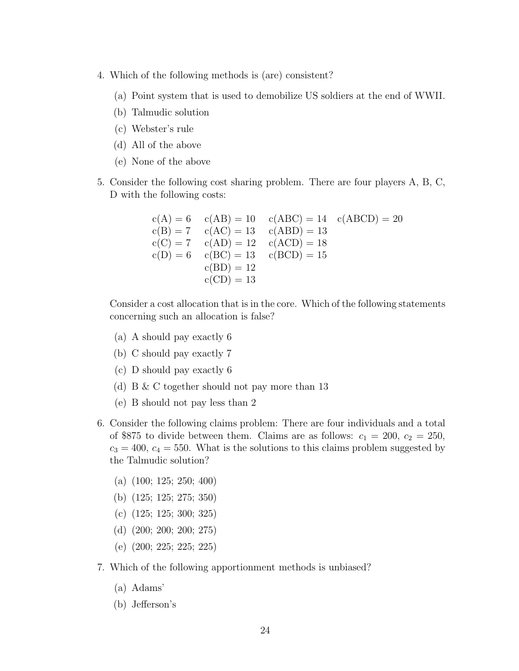- 4. Which of the following methods is (are) consistent?
	- (a) Point system that is used to demobilize US soldiers at the end of WWII.
	- (b) Talmudic solution
	- (c) Webster's rule
	- (d) All of the above
	- (e) None of the above
- 5. Consider the following cost sharing problem. There are four players A, B, C, D with the following costs:

$$
c(A) = 6 \t c(AB) = 10 \t c(ABC) = 14 \t c(ABCD) = 20\n c(B) = 7 \t c(AC) = 13 \t c(ABD) = 13\n c(C) = 7 \t c(AD) = 12 \t c(ACD) = 18\n c(D) = 6 \t c(BC) = 13 \t c(BCD) = 15\n c(BD) = 12\n c(CD) = 13
$$

Consider a cost allocation that is in the core. Which of the following statements concerning such an allocation is false?

- (a) A should pay exactly 6
- (b) C should pay exactly 7
- (c) D should pay exactly 6
- (d) B & C together should not pay more than 13
- (e) B should not pay less than 2
- 6. Consider the following claims problem: There are four individuals and a total of \$875 to divide between them. Claims are as follows:  $c_1 = 200$ ,  $c_2 = 250$ ,  $c_3 = 400$ ,  $c_4 = 550$ . What is the solutions to this claims problem suggested by the Talmudic solution?
	- (a) (100; 125; 250; 400)
	- (b) (125; 125; 275; 350)
	- (c) (125; 125; 300; 325)
	- (d) (200; 200; 200; 275)
	- (e) (200; 225; 225; 225)
- 7. Which of the following apportionment methods is unbiased?
	- (a) Adams'
	- (b) Jefferson's